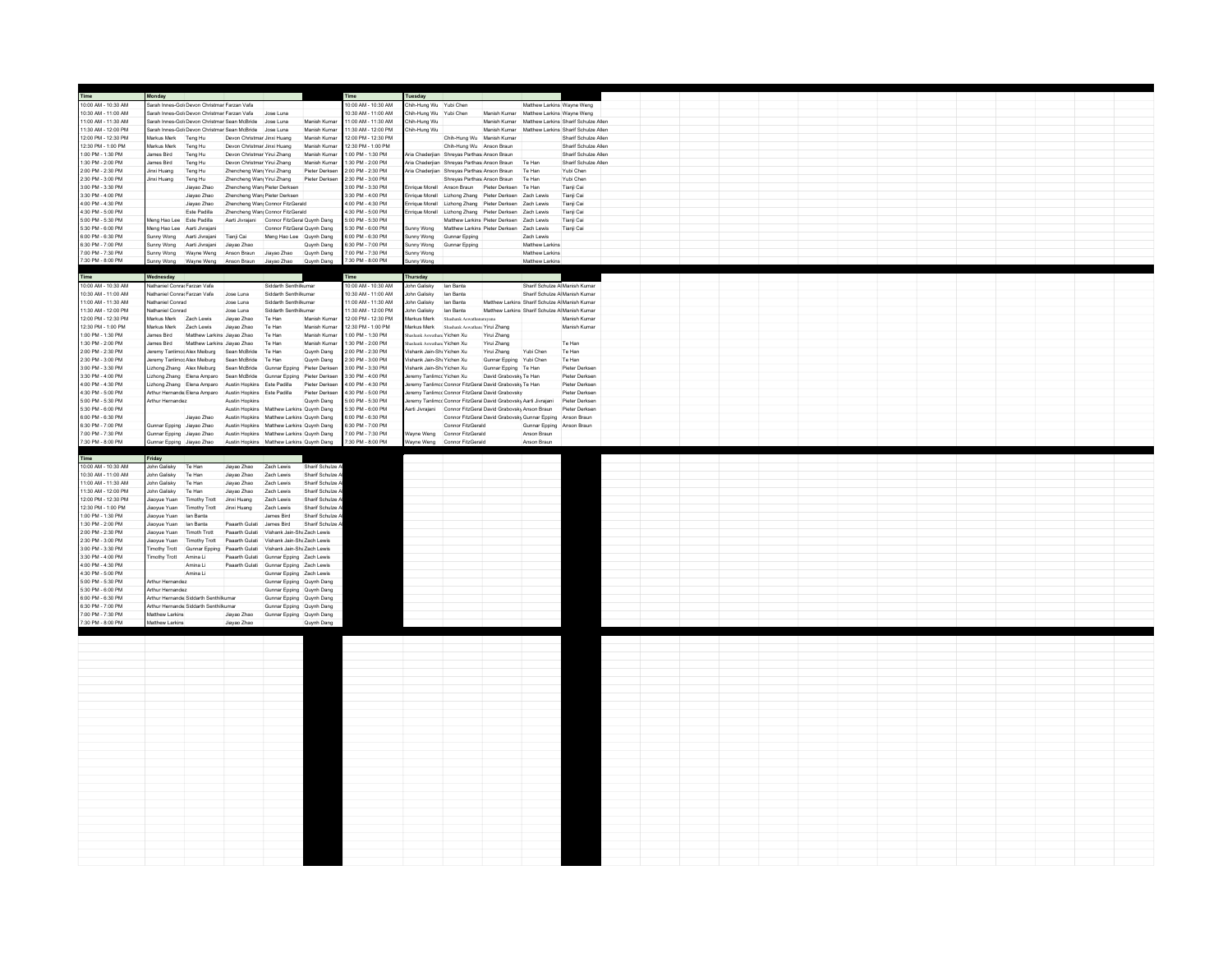|                                            | Monday                                              |                                                                                                      |                                                            |                                                                                |                              | Time                                      | Tuesday                                                  |                                                                          |                                                                                                     |                                |                                                   |  |  |  |  |  |  |
|--------------------------------------------|-----------------------------------------------------|------------------------------------------------------------------------------------------------------|------------------------------------------------------------|--------------------------------------------------------------------------------|------------------------------|-------------------------------------------|----------------------------------------------------------|--------------------------------------------------------------------------|-----------------------------------------------------------------------------------------------------|--------------------------------|---------------------------------------------------|--|--|--|--|--|--|
| 10:00 AM - 10:30 AM                        |                                                     | arah Innes-Gol Devon Christmar Farzan Vafa                                                           |                                                            |                                                                                |                              | 0:00 AM - 10:30 AM                        | hih-Hung Wu Yubi Chen                                    |                                                                          |                                                                                                     | Matthew Larkins Wayne Weng     |                                                   |  |  |  |  |  |  |
| 10:30 AM - 11:00 AM                        |                                                     | Sarah Innes-Gol Devon Christmar Farzan Vafa Jose Luna                                                |                                                            |                                                                                |                              | 10:30 AM - 11:00 AM                       | Chih-Hung Wu Yubi Chen                                   |                                                                          | Manish Kumar Matthew Larkins Wayne Weng                                                             |                                |                                                   |  |  |  |  |  |  |
| 11:00 AM - 11:30 AM                        |                                                     | Sarah Innes-Gok Devon Christmar Sean McBride Jose Luna                                               |                                                            |                                                                                | Manish Kumar                 | 11:00 AM - 11:30 AM                       | Chih-Hung Wu                                             |                                                                          |                                                                                                     |                                | Manish Kumar Matthew Larkins Sharif Schulze Allen |  |  |  |  |  |  |
| 11:30 AM - 12:00 PM                        |                                                     | Sarah Innes-Golt Devon Christmar Sean McBride Jose Luna                                              |                                                            |                                                                                | Manish Kumar                 | 11:30 AM - 12:00 PM                       | Chih-Hung Wu                                             |                                                                          |                                                                                                     |                                | Manish Kumar Matthew Larkins Sharif Schulze Allen |  |  |  |  |  |  |
| 12:00 PM - 12:30 PM<br>12:30 PM - 1:00 PM  | Markus Merk Teng Hu<br>Markus Merk                  |                                                                                                      | Devon Christmar Jinxi Huang<br>Devon Christmar Jinxi Huang |                                                                                | Manish Kumar<br>Manish Kumar | 12:00 PM - 12:30 PM<br>12:30 PM - 1:00 PM |                                                          | Chih-Hung Wu Manish Kumar                                                |                                                                                                     |                                | Sharif Schulze Allen<br>Sharif Schulze Allen      |  |  |  |  |  |  |
| 1:00 PM - 1:30 PM                          | James Bird                                          | Teng Hu<br>Teng Hu                                                                                   | Devon Christmar Yirui Zhang                                |                                                                                | Manish Kumar                 | 1:00 PM - 1:30 PM                         |                                                          | Chih-Hung Wu Anson Braun<br>Aria Chaderjian Shreyas Parthasi Anson Braun |                                                                                                     |                                | Sharif Schulze Allen                              |  |  |  |  |  |  |
| 1:30 PM - 2:00 PM                          | James Bird                                          | Teng Hu                                                                                              | Devon Christmar Yirui Zhang                                |                                                                                | Manish Kumar                 | :30 PM - 2:00 PM                          |                                                          |                                                                          | Aria Chaderjian Shreyas Parthas: Anson Braun Te Han                                                 |                                | Sharif Schulze Allen                              |  |  |  |  |  |  |
| 2:00 PM - 2:30 PM                          | Jinxi Huang                                         | Teng Hu                                                                                              | Zhencheng Wany Yirui Zhang                                 |                                                                                | Pieter Derksen               | 2:00 PM - 2:30 PM                         |                                                          |                                                                          | Aria Chaderjian Shreyas Parthasi Anson Braun Te Han                                                 |                                | Yubi Chen                                         |  |  |  |  |  |  |
| 2:30 PM - 3:00 PM                          | Jinxi Huang                                         | Teng Hu                                                                                              | Zhencheng Wan <sub>l</sub> Yirui Zhang                     |                                                                                | Pieter Derksen               | 2:30 PM - 3:00 PM                         |                                                          |                                                                          | Shreyas Parthasi Anson Braun Te Han                                                                 |                                | Yubi Chen                                         |  |  |  |  |  |  |
| 3:00 PM - 3:30 PM                          |                                                     | Jiayao Zhao                                                                                          | Zhencheng Wan, Pieter Derksen                              |                                                                                |                              | 3:00 PM - 3:30 PM                         |                                                          |                                                                          | Enrique Morell Anson Braun Pieter Derksen Te Han                                                    |                                | Tianii Cai                                        |  |  |  |  |  |  |
| 3:30 PM - 4:00 PM                          |                                                     | Jiayao Zhao                                                                                          | Zhencheng Wan Pieter Derksen                               |                                                                                |                              | 3:30 PM - 4:00 PM                         |                                                          |                                                                          | Enrique Morell Lizhong Zhang Pieter Derksen Zach Lewis                                              |                                | Tianji Cai                                        |  |  |  |  |  |  |
| 4:00 PM - 4:30 PM<br>4:30 PM - 5:00 PM     |                                                     | Jiayao Zhao                                                                                          |                                                            | Zhencheng Wanj Connor FitzGerald                                               |                              | 4:00 PM - 4:30 PM                         |                                                          |                                                                          | nrique Morell Lizhong Zhang Pieter Derksen Zach Lewis                                               |                                | Tianji Cai                                        |  |  |  |  |  |  |
| 5:00 PM - 5:30 PM                          | Meng Hao Lee Este Padilla                           | Este Padilla                                                                                         |                                                            | Zhencheng Wan Connor FitzGerald<br>Aarti Jivrajani Connor FitzGeral Quynh Dang |                              | 4:30 PM - 5:00 PM<br>5:00 PM - 5:30 PM    |                                                          |                                                                          | Enrique Morell Lizhong Zhang Pieter Derksen Zach Lewis<br>Matthew Larkins Pieter Derksen Zach Lewis |                                | Tianji Cai<br>Tianji Cai                          |  |  |  |  |  |  |
| 5:30 PM - 6:00 PM                          |                                                     | Meng Hao Lee Aarti Jivraiani                                                                         |                                                            | Connor FitzGeral Quynh Dang                                                    |                              | 5:30 PM - 6:00 PM                         |                                                          |                                                                          | Sunny Wong Matthew Larkins Pieter Derksen Zach Lewis                                                |                                | Tianji Cai                                        |  |  |  |  |  |  |
| 6:00 PM - 6:30 PM                          |                                                     | Sunny Wong Aarti Jivrajani                                                                           | Tianii Cai                                                 | Meng Hao Lee Quynh Dang                                                        |                              | 6:00 PM - 6:30 PM                         | Sunny Wong                                               | Gunnar Epping                                                            |                                                                                                     | Zach Lewis                     |                                                   |  |  |  |  |  |  |
| 6:30 PM - 7:00 PM                          | Sunny Wong                                          | Aarti Jivraiani                                                                                      | Jiavao Zhao                                                |                                                                                | Quynh Dang                   | 6:30 PM - 7:00 PM                         | Sunny Wong                                               | Gunnar Epping                                                            |                                                                                                     | Matthew Larkins                |                                                   |  |  |  |  |  |  |
| 7:00 PM - 7:30 PM                          |                                                     | Sunny Wong Wayne Weng Anson Braun Jiayao Zhao                                                        |                                                            |                                                                                | Quynh Dang                   | 7:00 PM - 7:30 PM                         | Sunny Wong                                               |                                                                          |                                                                                                     | Matthew Larkins                |                                                   |  |  |  |  |  |  |
| 7:30 PM - 8:00 PM                          | sunny Wong                                          |                                                                                                      | Wayne Weng Anson Braun Jiayao Zhao                         |                                                                                | Quynh Dang                   | 7:30 PM - 8:00 PM                         | unny Wong                                                |                                                                          |                                                                                                     | Matthew Larkins                |                                                   |  |  |  |  |  |  |
|                                            |                                                     |                                                                                                      |                                                            |                                                                                |                              |                                           |                                                          |                                                                          |                                                                                                     |                                |                                                   |  |  |  |  |  |  |
| Time                                       | Wednesday                                           |                                                                                                      |                                                            |                                                                                |                              | Time                                      | Thursday                                                 |                                                                          |                                                                                                     |                                |                                                   |  |  |  |  |  |  |
| 10:00 AM - 10:30 AM                        | Nathaniel Conrar Farzan Vafa                        |                                                                                                      |                                                            | Siddarth Senthilkumar                                                          |                              | 10:00 AM - 10:30 AM                       | Inhn Galisky                                             | <b>Jan Banta</b>                                                         |                                                                                                     | Sharif Schulze Al Manish Kumar |                                                   |  |  |  |  |  |  |
| 10:30 AM - 11:00 AM<br>11:00 AM - 11:30 AM | Nathaniel Conrac Farzan Vafa<br>lathaniel Conrad    |                                                                                                      | Jose Luna<br>Jose Luna                                     | Siddarth Senthilkumar<br>Siddarth Senthilkumar                                 |                              | 10:30 AM - 11:00 AM<br>1:00 AM - 11:30 AM | John Galisky lan Banta<br>John Galisky                   | lan Banta                                                                | Matthew Larkins Sharif Schulze A Manish Kumar                                                       | Sharif Schulze A Manish Kumar  |                                                   |  |  |  |  |  |  |
| 11:30 AM - 12:00 PM                        | Nathaniel Conrad                                    |                                                                                                      | Jose Luna                                                  | Siddarth Senthilkumar                                                          |                              | 11:30 AM - 12:00 PM                       | John Galisky                                             | lan Banta                                                                | Matthew Larkins Sharif Schulze A Manish Kumar                                                       |                                |                                                   |  |  |  |  |  |  |
| 12:00 PM - 12:30 PM                        | Markus Merk Zach Lewis                              |                                                                                                      | Jiavao Zhao                                                | Te Han                                                                         | Manish Kumar                 | 12:00 PM - 12:30 PM                       | Markus Merk                                              | Shashank Aswathanarayana                                                 |                                                                                                     |                                | Manish Kumar                                      |  |  |  |  |  |  |
| 12:30 PM - 1:00 PM                         | Markus Merk Zach Lewis                              |                                                                                                      | Jiavao Zhao                                                | Te Han                                                                         | Manish Kumar                 | 12:30 PM - 1:00 PM                        |                                                          | Markus Merk Shashank Aswathana Yirui Zhang                               |                                                                                                     |                                | Manish Kumar                                      |  |  |  |  |  |  |
| 1:00 PM - 1:30 PM                          | James Bird                                          | Matthew Larkins Jiavao Zhao                                                                          |                                                            | Te Han                                                                         | Manish Kumar                 | 00 PM - 1:30 PM                           | hashank Aswathani Yichen Xu                              |                                                                          | Yirui Zhang                                                                                         |                                |                                                   |  |  |  |  |  |  |
| 1:30 PM - 2:00 PM                          | James Bird                                          | Matthew Larkins Jiayao Zhao                                                                          |                                                            | Te Han                                                                         | Manish Kumar                 | :30 PM - 2:00 PM                          | ashank Aswathan; Yichen Xu                               |                                                                          | Yirui Zhang                                                                                         |                                | Te Han                                            |  |  |  |  |  |  |
| 2:00 PM - 2:30 PM                          |                                                     | Jeremy Tanlimco Alex Meiburg Sean McBride                                                            |                                                            | Te Han                                                                         | Quynh Dang                   | 2:00 PM - 2:30 PM                         | /ishank Jain-Shi Yichen Xu                               |                                                                          | Yirui Zhang                                                                                         | Yubi Chen                      | Te Han                                            |  |  |  |  |  |  |
| 2:30 PM - 3:00 PM<br>3:00 PM - 3:30 PM     |                                                     | Jeremy Tanlimco Alex Melburg<br>Lizhong Zhang Alex Melburg Sean McBride Gunnar Epping Pieter Derksen | Sean McBride                                               | Te Han                                                                         | Quynh Dang                   | :30 PM - 3:00 PM<br>3:00 PM - 3:30 PM     | /ishank Jain-Shi Yichen Xu<br>/ishank Jain-Shi Yichen Xu |                                                                          | Gunnar Epping Yubi Chen<br>Gunnar Epping Te Han                                                     |                                | Te Han<br>Pieter Derksen                          |  |  |  |  |  |  |
| 3:30 PM - 4:00 PM                          |                                                     | Lizhong Zhang Elena Amparo Sean McBride Gunnar Epping Pieter Derksen                                 |                                                            |                                                                                |                              | 3:30 PM - 4:00 PM                         | Jeremy Tanlimcc Yichen Xu                                |                                                                          | David Grabovsky Te Han                                                                              |                                | Pieter Derksen                                    |  |  |  |  |  |  |
| 4:00 PM - 4:30 PM                          |                                                     | Lizhong Zhang Elena Amparo Austin Hopkins Este Padilla Pieter Derksen                                |                                                            |                                                                                |                              | 4:00 PM - 4:30 PM                         |                                                          |                                                                          | Jeremy Tanlimcc Connor FitzGeral David Graboysky Te Han                                             |                                | Pieter Derksen                                    |  |  |  |  |  |  |
| 4:30 PM - 5:00 PM                          |                                                     | Arthur Hernande: Elena Amparo Austin Hopkins Este Padilla                                            |                                                            |                                                                                | Pieter Derksen               | 4:30 PM - 5:00 PM                         |                                                          |                                                                          | Jeremy Tanlimco Connor FitzGeral David Grabovsky                                                    |                                | Pieter Derkser                                    |  |  |  |  |  |  |
| 5:00 PM - 5:30 PM                          | wthur Hemandez                                      |                                                                                                      | Austin Hopkins                                             |                                                                                | Quynh Dang                   | 5:00 PM - 5:30 PM                         |                                                          |                                                                          | leremy Tanlimcc Connor FitzGeral David Grabovsky Aarti Jivrajani                                    |                                | Pieter Derkser                                    |  |  |  |  |  |  |
| 5:30 PM - 6:00 PM                          |                                                     |                                                                                                      |                                                            | Austin Hopkins Matthew Larkins Quynh Dang                                      |                              | 5:30 PM - 6:00 PM                         |                                                          |                                                                          | Aarti Jivrajani Connor FitzGeral David Grabovsky Anson Braun                                        |                                | Pieter Derksen                                    |  |  |  |  |  |  |
| 6:00 PM - 6:30 PM                          |                                                     | Jiayao Zhao                                                                                          |                                                            | Austin Hopkins Matthew Larkins Quynh Dang                                      |                              | 6:00 PM - 6:30 PM                         |                                                          |                                                                          | Connor FitzGeral David Grabovsky Gunnar Epping Anson Braun                                          |                                |                                                   |  |  |  |  |  |  |
| 6:30 PM - 7:00 PM                          |                                                     | Gunnar Epping Jiavao Zhao Austin Hopkins Matthew Larkins Quynh Dang                                  |                                                            |                                                                                |                              | 6:30 PM - 7:00 PM                         |                                                          | Connor FitzGerald                                                        |                                                                                                     | Gunnar Epping Anson Braun      |                                                   |  |  |  |  |  |  |
| 7:00 PM - 7:30 PM                          |                                                     | Sunnar Epping Jiayao Zhao                                                                            |                                                            | Austin Hopkins Matthew Larkins Quynh Dang                                      |                              | 7:00 PM - 7:30 PM                         |                                                          | Wayne Weng Connor FitzGerald                                             |                                                                                                     | Anson Braun                    |                                                   |  |  |  |  |  |  |
| 7:30 PM - 8:00 PM                          | Gunnar Epoing Jiavao Zhao                           |                                                                                                      |                                                            | Austin Hookins Matthew Larkins Quynh Dang                                      |                              | 7:30 PM - 8:00 PM                         |                                                          | Wayne Weng Connor FitzGerald                                             |                                                                                                     | Anson Braun                    |                                                   |  |  |  |  |  |  |
| Time                                       | Friday                                              |                                                                                                      |                                                            |                                                                                |                              |                                           |                                                          |                                                                          |                                                                                                     |                                |                                                   |  |  |  |  |  |  |
| 10:00 AM - 10:30 AM                        | John Galisky                                        | Te Han                                                                                               | Jiayao Zhao                                                | Zach Lewis                                                                     | Sharif Schulze               |                                           |                                                          |                                                                          |                                                                                                     |                                |                                                   |  |  |  |  |  |  |
|                                            |                                                     |                                                                                                      |                                                            |                                                                                |                              |                                           |                                                          |                                                                          |                                                                                                     |                                |                                                   |  |  |  |  |  |  |
| 10:30 AM - 11:00 AM                        | John Galisky                                        | Te Han                                                                                               | Jiavao Zhao                                                | Zach Lewis                                                                     | Sharif Schulze               |                                           |                                                          |                                                                          |                                                                                                     |                                |                                                   |  |  |  |  |  |  |
| 11:00 AM - 11:30 AM                        | John Galisky                                        | Te Han                                                                                               | Jiavan Zhan                                                | Zach Lewis                                                                     | Sharif Schulze               |                                           |                                                          |                                                                          |                                                                                                     |                                |                                                   |  |  |  |  |  |  |
| 11:30 AM - 12:00 PM                        | John Galisky                                        | Te Han                                                                                               | Jiayao Zhao                                                | Zach Lewis                                                                     | Sharif Schulze               |                                           |                                                          |                                                                          |                                                                                                     |                                |                                                   |  |  |  |  |  |  |
| 12:00 PM - 12:30 PM                        | Jiaoyue Yuan                                        | <b>Timothy Trott</b>                                                                                 | Jinxi Huang                                                | Zach Lewis                                                                     | Sharif Schulze               |                                           |                                                          |                                                                          |                                                                                                     |                                |                                                   |  |  |  |  |  |  |
| 12:30 PM - 1:00 PM                         | Jiaoyue Yuan                                        | <b>Timothy Trott</b>                                                                                 | Jinxi Huang                                                | Zach Lewis                                                                     | Sharif Schulze               |                                           |                                                          |                                                                          |                                                                                                     |                                |                                                   |  |  |  |  |  |  |
| 1:00 PM - 1:30 PM                          | Jiaoyue Yuan lan Banta                              |                                                                                                      |                                                            | James Bird                                                                     | Sharif Schulze /             |                                           |                                                          |                                                                          |                                                                                                     |                                |                                                   |  |  |  |  |  |  |
| 1:30 PM - 2:00 PM<br>2:00 PM - 2:30 PM     | Jiaoyue Yuan lan Banta<br>Jiaovue Yuan Timoth Trott |                                                                                                      | Paaarth Gulati James Bird                                  | Paaarth Gulati Vishank Jain-Sha Zach Lewis                                     | Sharif Schulze A             |                                           |                                                          |                                                                          |                                                                                                     |                                |                                                   |  |  |  |  |  |  |
| 2:30 PM - 3:00 PM                          |                                                     | <b>Timothy Trott</b>                                                                                 |                                                            | Paaarth Gulati Vishank Jain-Sha Zach Lewis                                     |                              |                                           |                                                          |                                                                          |                                                                                                     |                                |                                                   |  |  |  |  |  |  |
| 3:00 PM - 3:30 PM                          | Jiaoyue Yuan                                        | Timothy Trott Gunnar Epping Paaarth Gulati Vishank Jain-ShaZach Lewis                                |                                                            |                                                                                |                              |                                           |                                                          |                                                                          |                                                                                                     |                                |                                                   |  |  |  |  |  |  |
| 3:30 PM - 4:00 PM                          | Timothy Trott Amina Li                              |                                                                                                      |                                                            | Paaarth Gulati Gunnar Epping Zach Lewis                                        |                              |                                           |                                                          |                                                                          |                                                                                                     |                                |                                                   |  |  |  |  |  |  |
| 4:00 PM - 4:30 PM                          |                                                     | Amina Li                                                                                             |                                                            | Paaarth Gulati Gunnar Epping Zach Lewis                                        |                              |                                           |                                                          |                                                                          |                                                                                                     |                                |                                                   |  |  |  |  |  |  |
| 4:30 PM - 5:00 PM                          |                                                     | Amina Li                                                                                             |                                                            | Gunnar Epping Zach Lewis                                                       |                              |                                           |                                                          |                                                                          |                                                                                                     |                                |                                                   |  |  |  |  |  |  |
| 5:00 PM - 5:30 PM                          | Arthur Hemandez                                     |                                                                                                      |                                                            | Gunnar Epping Quynh Dang                                                       |                              |                                           |                                                          |                                                                          |                                                                                                     |                                |                                                   |  |  |  |  |  |  |
| 5:30 PM - 6:00 PM                          | Arthur Hemandez                                     |                                                                                                      |                                                            | Gunnar Epping Quynh Dang                                                       |                              |                                           |                                                          |                                                                          |                                                                                                     |                                |                                                   |  |  |  |  |  |  |
| 6:00 PM - 6:30 PM<br>3:30 PM - 7:00 PM     |                                                     | Arthur Hemande: Siddarth Senthilkumar<br>Arthur Hemande: Siddarth Senthilkumar                       |                                                            | Gunnar Epping Quynh Dang                                                       |                              |                                           |                                                          |                                                                          |                                                                                                     |                                |                                                   |  |  |  |  |  |  |
| 7:00 PM - 7:30 PM                          | atthew Larkins                                      |                                                                                                      | Jiayao Zhao                                                | Gunnar Epping Quynh Dang<br>Gunnar Epping Quynh Dang                           |                              |                                           |                                                          |                                                                          |                                                                                                     |                                |                                                   |  |  |  |  |  |  |
| 7:30 PM - 8:00 PM                          | fatthew Larkins                                     |                                                                                                      | Jiayao Zhao                                                |                                                                                | Quynh Dang                   |                                           |                                                          |                                                                          |                                                                                                     |                                |                                                   |  |  |  |  |  |  |
|                                            |                                                     |                                                                                                      |                                                            |                                                                                |                              |                                           |                                                          |                                                                          |                                                                                                     |                                |                                                   |  |  |  |  |  |  |
|                                            |                                                     |                                                                                                      |                                                            |                                                                                |                              |                                           |                                                          |                                                                          |                                                                                                     |                                |                                                   |  |  |  |  |  |  |
|                                            |                                                     |                                                                                                      |                                                            |                                                                                |                              |                                           |                                                          |                                                                          |                                                                                                     |                                |                                                   |  |  |  |  |  |  |
|                                            |                                                     |                                                                                                      |                                                            |                                                                                |                              |                                           |                                                          |                                                                          |                                                                                                     |                                |                                                   |  |  |  |  |  |  |
|                                            |                                                     |                                                                                                      |                                                            |                                                                                |                              |                                           |                                                          |                                                                          |                                                                                                     |                                |                                                   |  |  |  |  |  |  |
|                                            |                                                     |                                                                                                      |                                                            |                                                                                |                              |                                           |                                                          |                                                                          |                                                                                                     |                                |                                                   |  |  |  |  |  |  |
|                                            |                                                     |                                                                                                      |                                                            |                                                                                |                              |                                           |                                                          |                                                                          |                                                                                                     |                                |                                                   |  |  |  |  |  |  |
|                                            |                                                     |                                                                                                      |                                                            |                                                                                |                              |                                           |                                                          |                                                                          |                                                                                                     |                                |                                                   |  |  |  |  |  |  |
|                                            |                                                     |                                                                                                      |                                                            |                                                                                |                              |                                           |                                                          |                                                                          |                                                                                                     |                                |                                                   |  |  |  |  |  |  |
|                                            |                                                     |                                                                                                      |                                                            |                                                                                |                              |                                           |                                                          |                                                                          |                                                                                                     |                                |                                                   |  |  |  |  |  |  |
|                                            |                                                     |                                                                                                      |                                                            |                                                                                |                              |                                           |                                                          |                                                                          |                                                                                                     |                                |                                                   |  |  |  |  |  |  |
|                                            |                                                     |                                                                                                      |                                                            |                                                                                |                              |                                           |                                                          |                                                                          |                                                                                                     |                                |                                                   |  |  |  |  |  |  |
|                                            |                                                     |                                                                                                      |                                                            |                                                                                |                              |                                           |                                                          |                                                                          |                                                                                                     |                                |                                                   |  |  |  |  |  |  |
|                                            |                                                     |                                                                                                      |                                                            |                                                                                |                              |                                           |                                                          |                                                                          |                                                                                                     |                                |                                                   |  |  |  |  |  |  |
|                                            |                                                     |                                                                                                      |                                                            |                                                                                |                              |                                           |                                                          |                                                                          |                                                                                                     |                                |                                                   |  |  |  |  |  |  |
|                                            |                                                     |                                                                                                      |                                                            |                                                                                |                              |                                           |                                                          |                                                                          |                                                                                                     |                                |                                                   |  |  |  |  |  |  |
|                                            |                                                     |                                                                                                      |                                                            |                                                                                |                              |                                           |                                                          |                                                                          |                                                                                                     |                                |                                                   |  |  |  |  |  |  |
|                                            |                                                     |                                                                                                      |                                                            |                                                                                |                              |                                           |                                                          |                                                                          |                                                                                                     |                                |                                                   |  |  |  |  |  |  |
|                                            |                                                     |                                                                                                      |                                                            |                                                                                |                              |                                           |                                                          |                                                                          |                                                                                                     |                                |                                                   |  |  |  |  |  |  |
|                                            |                                                     |                                                                                                      |                                                            |                                                                                |                              |                                           |                                                          |                                                                          |                                                                                                     |                                |                                                   |  |  |  |  |  |  |
|                                            |                                                     |                                                                                                      |                                                            |                                                                                |                              |                                           |                                                          |                                                                          |                                                                                                     |                                |                                                   |  |  |  |  |  |  |
|                                            |                                                     |                                                                                                      |                                                            |                                                                                |                              |                                           |                                                          |                                                                          |                                                                                                     |                                |                                                   |  |  |  |  |  |  |
|                                            |                                                     |                                                                                                      |                                                            |                                                                                |                              |                                           |                                                          |                                                                          |                                                                                                     |                                |                                                   |  |  |  |  |  |  |
|                                            |                                                     |                                                                                                      |                                                            |                                                                                |                              |                                           |                                                          |                                                                          |                                                                                                     |                                |                                                   |  |  |  |  |  |  |